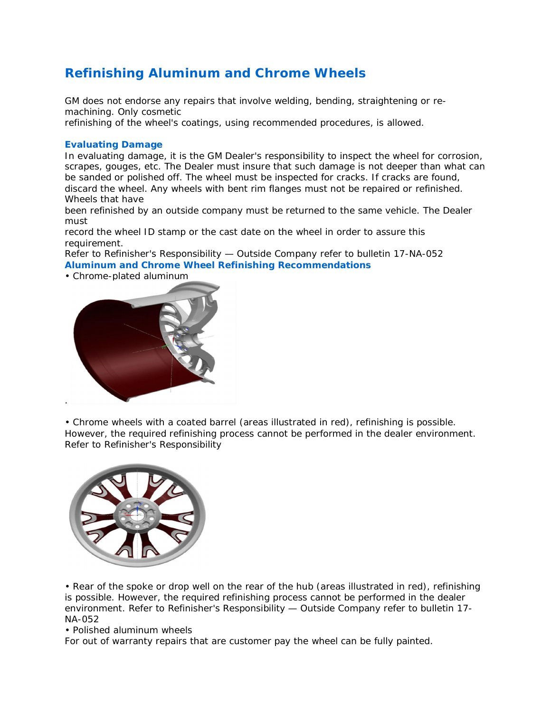# **Refinishing Aluminum and Chrome Wheels**

GM does not endorse any repairs that involve welding, bending, straightening or remachining. Only cosmetic

refinishing of the wheel's coatings, using recommended procedures, is allowed.

## **Evaluating Damage**

In evaluating damage, it is the GM Dealer's responsibility to inspect the wheel for corrosion, scrapes, gouges, etc. The Dealer must insure that such damage is not deeper than what can be sanded or polished off. The wheel must be inspected for cracks. If cracks are found, discard the wheel. Any wheels with bent rim flanges must not be repaired or refinished. Wheels that have

been refinished by an outside company must be returned to the same vehicle. The Dealer must

record the wheel ID stamp or the cast date on the wheel in order to assure this requirement.

Refer to Refinisher's Responsibility — Outside Company refer to bulletin 17-NA-052 **Aluminum and Chrome Wheel Refinishing Recommendations**

• Chrome-plated aluminum



• Chrome wheels with a coated barrel (areas illustrated in red), refinishing is possible. However, the required refinishing process cannot be performed in the dealer environment. Refer to Refinisher's Responsibility



• Rear of the spoke or drop well on the rear of the hub (areas illustrated in red), refinishing is possible. However, the required refinishing process cannot be performed in the dealer environment. Refer to Refinisher's Responsibility — Outside Company refer to bulletin 17- NA-052

# • Polished aluminum wheels

For out of warranty repairs that are customer pay the wheel can be fully painted.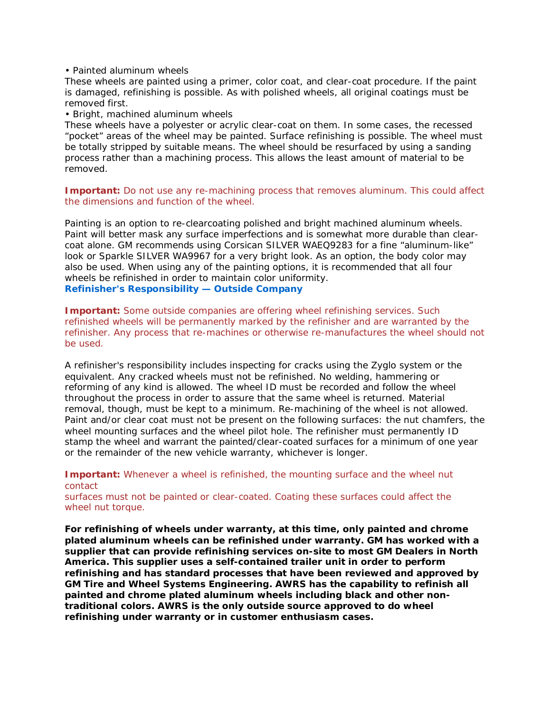### • Painted aluminum wheels

These wheels are painted using a primer, color coat, and clear-coat procedure. If the paint is damaged, refinishing is possible. As with polished wheels, all original coatings must be removed first.

#### • Bright, machined aluminum wheels

These wheels have a polyester or acrylic clear-coat on them. In some cases, the recessed "pocket" areas of the wheel may be painted. Surface refinishing is possible. The wheel must be totally stripped by suitable means. The wheel should be resurfaced by using a sanding process rather than a machining process. This allows the least amount of material to be removed.

**Important:** Do not use any re-machining process that removes aluminum. This could affect the dimensions and function of the wheel.

Painting is an option to re-clearcoating polished and bright machined aluminum wheels. Paint will better mask any surface imperfections and is somewhat more durable than clearcoat alone. GM recommends using Corsican SILVER WAEQ9283 for a fine "aluminum-like" look or Sparkle SILVER WA9967 for a very bright look. As an option, the body color may also be used. When using any of the painting options, it is recommended that all four wheels be refinished in order to maintain color uniformity. **Refinisher's Responsibility — Outside Company**

**Important:** Some outside companies are offering wheel refinishing services. Such refinished wheels will be permanently marked by the refinisher and are warranted by the refinisher. Any process that re-machines or otherwise re-manufactures the wheel should not be used.

A refinisher's responsibility includes inspecting for cracks using the Zyglo system or the equivalent. Any cracked wheels must not be refinished. No welding, hammering or reforming of any kind is allowed. The wheel ID must be recorded and follow the wheel throughout the process in order to assure that the same wheel is returned. Material removal, though, must be kept to a minimum. Re-machining of the wheel is not allowed. Paint and/or clear coat must not be present on the following surfaces: the nut chamfers, the wheel mounting surfaces and the wheel pilot hole. The refinisher must permanently ID stamp the wheel and warrant the painted/clear-coated surfaces for a minimum of one year or the remainder of the new vehicle warranty, whichever is longer.

#### **Important:** Whenever a wheel is refinished, the mounting surface and the wheel nut contact

surfaces must not be painted or clear-coated. Coating these surfaces could affect the wheel nut torque.

**For refinishing of wheels under warranty, at this time, only painted and chrome plated aluminum wheels can be refinished under warranty. GM has worked with a supplier that can provide refinishing services on-site to most GM Dealers in North America. This supplier uses a self-contained trailer unit in order to perform refinishing and has standard processes that have been reviewed and approved by GM Tire and Wheel Systems Engineering. AWRS has the capability to refinish all painted and chrome plated aluminum wheels including black and other nontraditional colors. AWRS is the only outside source approved to do wheel refinishing under warranty or in customer enthusiasm cases.**